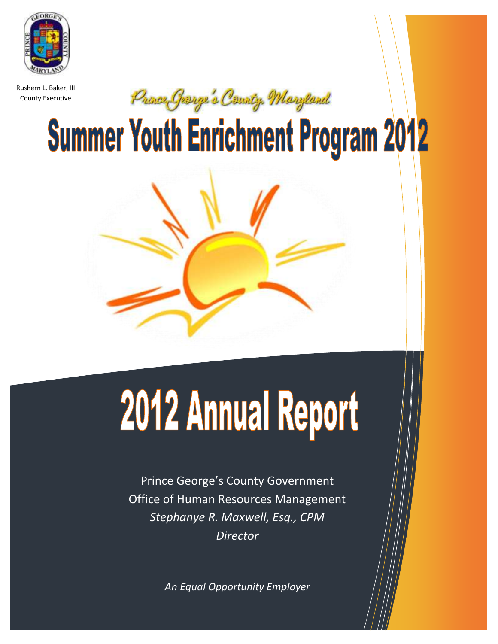

Rushern L. Baker, III County Executive

Pronce George's County, Maryland

**Summer Youth Enrichment Program 2012** 



# 2012 Annual Report

Prince George's County Government Office of Human Resources Management *Stephanye R. Maxwell, Esq., CPM Director*

*An Equal Opportunity Employer*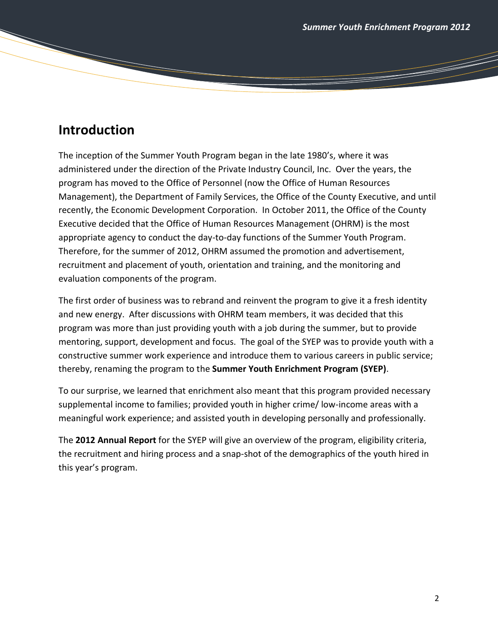and a strong of the contract of the contract of the contract of the contract of the contract of the contract of the contract of the contract of the contract of the contract of the contract of the contract of the contract o

# **Introduction**

The inception of the Summer Youth Program began in the late 1980's, where it was administered under the direction of the Private Industry Council, Inc. Over the years, the program has moved to the Office of Personnel (now the Office of Human Resources Management), the Department of Family Services, the Office of the County Executive, and until recently, the Economic Development Corporation. In October 2011, the Office of the County Executive decided that the Office of Human Resources Management (OHRM) is the most appropriate agency to conduct the day-to-day functions of the Summer Youth Program. Therefore, for the summer of 2012, OHRM assumed the promotion and advertisement, recruitment and placement of youth, orientation and training, and the monitoring and evaluation components of the program.

The first order of business was to rebrand and reinvent the program to give it a fresh identity and new energy. After discussions with OHRM team members, it was decided that this program was more than just providing youth with a job during the summer, but to provide mentoring, support, development and focus. The goal of the SYEP was to provide youth with a constructive summer work experience and introduce them to various careers in public service; thereby, renaming the program to the **Summer Youth Enrichment Program (SYEP)**.

To our surprise, we learned that enrichment also meant that this program provided necessary supplemental income to families; provided youth in higher crime/ low-income areas with a meaningful work experience; and assisted youth in developing personally and professionally.

The **2012 Annual Report** for the SYEP will give an overview of the program, eligibility criteria, the recruitment and hiring process and a snap-shot of the demographics of the youth hired in this year's program.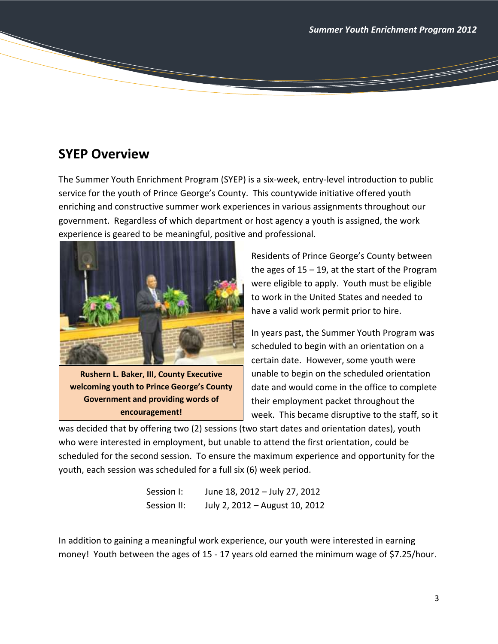# **SYEP Overview**

The Summer Youth Enrichment Program (SYEP) is a six-week, entry-level introduction to public service for the youth of Prince George's County. This countywide initiative offered youth enriching and constructive summer work experiences in various assignments throughout our government. Regardless of which department or host agency a youth is assigned, the work experience is geared to be meaningful, positive and professional.



**Rushern L. Baker, III, County Executive welcoming youth to Prince George's County Government and providing words of encouragement!**

Residents of Prince George's County between the ages of  $15 - 19$ , at the start of the Program were eligible to apply. Youth must be eligible to work in the United States and needed to have a valid work permit prior to hire.

In years past, the Summer Youth Program was scheduled to begin with an orientation on a certain date. However, some youth were unable to begin on the scheduled orientation date and would come in the office to complete their employment packet throughout the week. This became disruptive to the staff, so it

was decided that by offering two (2) sessions (two start dates and orientation dates), youth who were interested in employment, but unable to attend the first orientation, could be scheduled for the second session. To ensure the maximum experience and opportunity for the youth, each session was scheduled for a full six (6) week period.

| Session I:  | June 18, 2012 - July 27, 2012  |
|-------------|--------------------------------|
| Session II: | July 2, 2012 - August 10, 2012 |

In addition to gaining a meaningful work experience, our youth were interested in earning money! Youth between the ages of 15 - 17 years old earned the minimum wage of \$7.25/hour.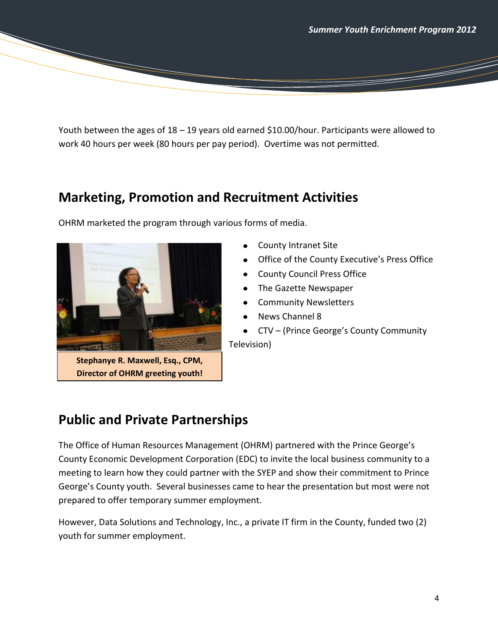Youth between the ages of 18 – 19 years old earned \$10.00/hour. Participants were allowed to work 40 hours per week (80 hours per pay period). Overtime was not permitted.

# **Marketing, Promotion and Recruitment Activities**



OHRM marketed the program through various forms of media.

- County Intranet Site
- Office of the County Executive's Press Office
- County Council Press Office
- The Gazette Newspaper
- Community Newsletters
- News Channel 8
- CTV (Prince George's County Community

Television)

# **Public and Private Partnerships**

The Office of Human Resources Management (OHRM) partnered with the Prince George's County Economic Development Corporation (EDC) to invite the local business community to a meeting to learn how they could partner with the SYEP and show their commitment to Prince George's County youth. Several businesses came to hear the presentation but most were not prepared to offer temporary summer employment.

However, Data Solutions and Technology, Inc., a private IT firm in the County, funded two (2) youth for summer employment.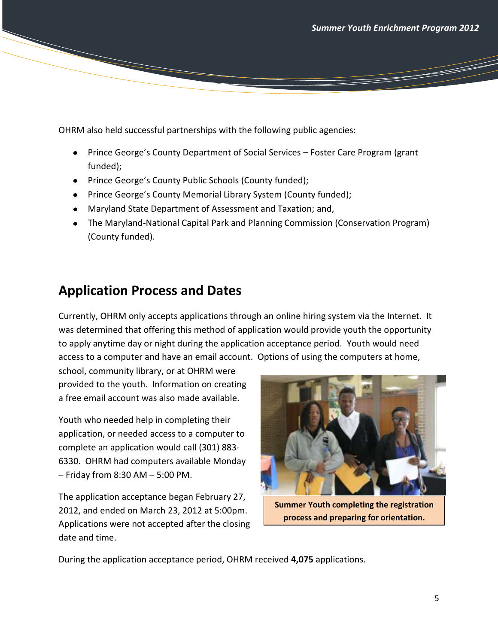OHRM also held successful partnerships with the following public agencies:

- Prince George's County Department of Social Services Foster Care Program (grant funded);
- Prince George's County Public Schools (County funded);
- Prince George's County Memorial Library System (County funded);
- Maryland State Department of Assessment and Taxation; and,
- The Maryland-National Capital Park and Planning Commission (Conservation Program) (County funded).

# **Application Process and Dates**

Currently, OHRM only accepts applications through an online hiring system via the Internet. It was determined that offering this method of application would provide youth the opportunity to apply anytime day or night during the application acceptance period. Youth would need access to a computer and have an email account. Options of using the computers at home,

school, community library, or at OHRM were provided to the youth. Information on creating a free email account was also made available.

Youth who needed help in completing their application, or needed access to a computer to complete an application would call (301) 883- 6330. OHRM had computers available Monday – Friday from 8:30 AM – 5:00 PM.

The application acceptance began February 27, 2012, and ended on March 23, 2012 at 5:00pm. Applications were not accepted after the closing date and time.



**Summer Youth completing the registration process and preparing for orientation.**

During the application acceptance period, OHRM received **4,075** applications.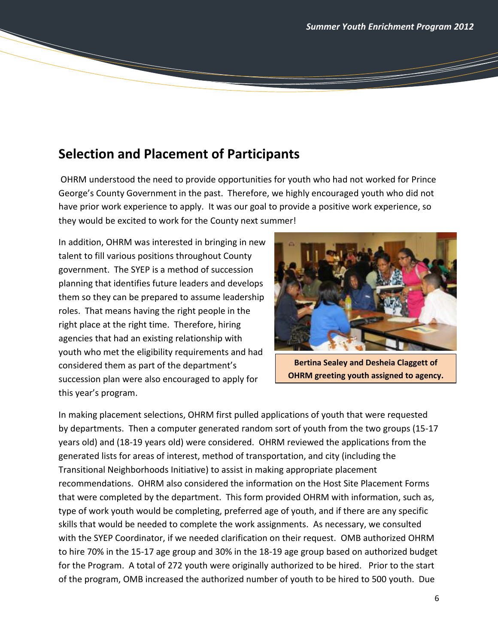# **Selection and Placement of Participants**

OHRM understood the need to provide opportunities for youth who had not worked for Prince George's County Government in the past. Therefore, we highly encouraged youth who did not have prior work experience to apply. It was our goal to provide a positive work experience, so they would be excited to work for the County next summer!

In addition, OHRM was interested in bringing in new talent to fill various positions throughout County government. The SYEP is a method of succession planning that identifies future leaders and develops them so they can be prepared to assume leadership roles. That means having the right people in the right place at the right time. Therefore, hiring agencies that had an existing relationship with youth who met the eligibility requirements and had considered them as part of the department's succession plan were also encouraged to apply for this year's program.



**Bertina Sealey and Desheia Claggett of OHRM greeting youth assigned to agency.**

In making placement selections, OHRM first pulled applications of youth that were requested by departments. Then a computer generated random sort of youth from the two groups (15-17 years old) and (18-19 years old) were considered. OHRM reviewed the applications from the generated lists for areas of interest, method of transportation, and city (including the Transitional Neighborhoods Initiative) to assist in making appropriate placement recommendations. OHRM also considered the information on the Host Site Placement Forms that were completed by the department. This form provided OHRM with information, such as, type of work youth would be completing, preferred age of youth, and if there are any specific skills that would be needed to complete the work assignments. As necessary, we consulted with the SYEP Coordinator, if we needed clarification on their request. OMB authorized OHRM to hire 70% in the 15-17 age group and 30% in the 18-19 age group based on authorized budget for the Program. A total of 272 youth were originally authorized to be hired. Prior to the start of the program, OMB increased the authorized number of youth to be hired to 500 youth. Due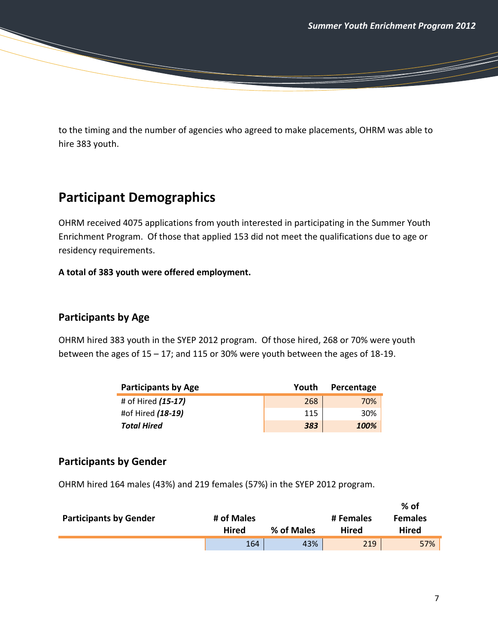<u> Sarajara Sarajara (s. 1888)</u>

to the timing and the number of agencies who agreed to make placements, OHRM was able to hire 383 youth.

# **Participant Demographics**

OHRM received 4075 applications from youth interested in participating in the Summer Youth Enrichment Program. Of those that applied 153 did not meet the qualifications due to age or residency requirements.

## **A total of 383 youth were offered employment.**

## **Participants by Age**

OHRM hired 383 youth in the SYEP 2012 program. Of those hired, 268 or 70% were youth between the ages of 15 – 17; and 115 or 30% were youth between the ages of 18-19.

| <b>Participants by Age</b> | Youth | Percentage |
|----------------------------|-------|------------|
| # of Hired (15-17)         | 268   | 70%        |
| #of Hired (18-19)          | 115   | 30%        |
| <b>Total Hired</b>         | 383   | 100%       |

## **Participants by Gender**

OHRM hired 164 males (43%) and 219 females (57%) in the SYEP 2012 program.

| <b>Participants by Gender</b> | # of Males<br>Hired | % of Males | # Females<br><b>Hired</b> | $%$ of<br><b>Females</b><br>Hired |
|-------------------------------|---------------------|------------|---------------------------|-----------------------------------|
|                               | 164                 | 43%        | 219                       | 57%                               |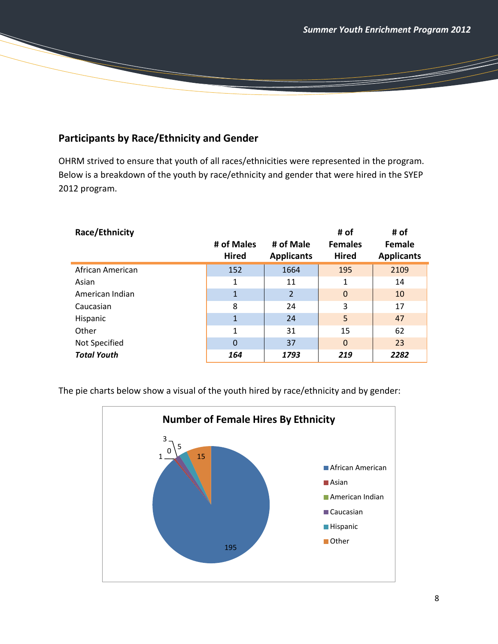<u> Santa Contra Contra Contra Contra Contra Contra Contra Contra Contra Contra Contra Contra Contra Contra Contra Contra Contra Contra Contra Contra Contra Contra Contra Contra Contra Contra Contra Contra Contra Contra Cont</u>

## **Participants by Race/Ethnicity and Gender**

OHRM strived to ensure that youth of all races/ethnicities were represented in the program. Below is a breakdown of the youth by race/ethnicity and gender that were hired in the SYEP 2012 program.

| Race/Ethnicity     |              |                   | # of           | # of              |
|--------------------|--------------|-------------------|----------------|-------------------|
|                    | # of Males   | # of Male         | <b>Females</b> | <b>Female</b>     |
|                    | <b>Hired</b> | <b>Applicants</b> | <b>Hired</b>   | <b>Applicants</b> |
| African American   | 152          | 1664              | 195            | 2109              |
| Asian              | 1            | 11                | 1              | 14                |
| American Indian    | 1            | $\overline{2}$    | $\mathbf 0$    | 10                |
| Caucasian          | 8            | 24                | 3              | 17                |
| Hispanic           | $\mathbf{1}$ | 24                | 5              | 47                |
| Other              | $\mathbf{1}$ | 31                | 15             | 62                |
| Not Specified      | $\Omega$     | 37                | $\Omega$       | 23                |
| <b>Total Youth</b> | 164          | 1793              | 219            | 2282              |

The pie charts below show a visual of the youth hired by race/ethnicity and by gender:

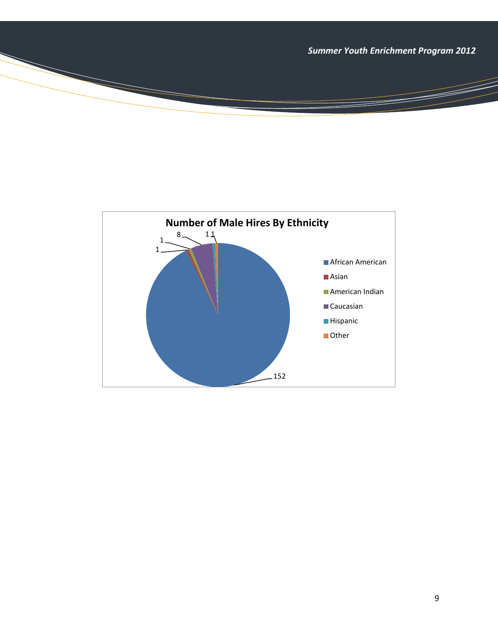*Summer Youth Enrichment Program 2012*

a dhekara waxaa ku dhacan dhacan dhacan dhacan dhacan dhacan dhacan dhacan dhacan dhacan dhacan dhacan dhacan<br>Marko dhacan dhacan dhacan dhacan dhacan dhacan dhacan dhacan dhacan dhacan dhacan dhacan dhacan dhacan dhacan

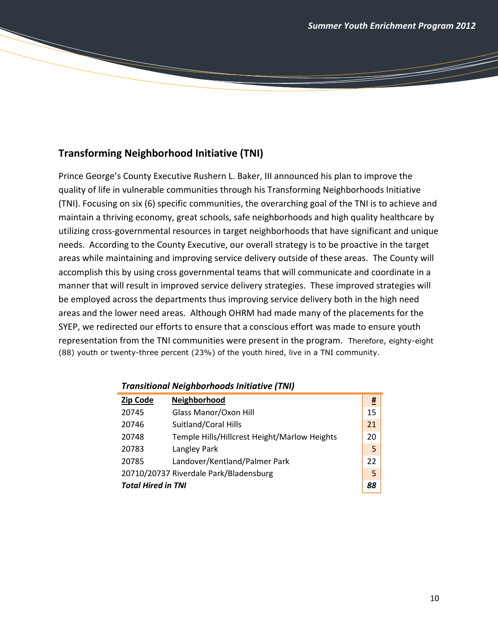## **Transforming Neighborhood Initiative (TNI)**

Prince George's County Executive Rushern L. Baker, III announced his plan to improve the quality of life in vulnerable communities through his Transforming Neighborhoods Initiative (TNI). Focusing on six (6) specific communities, the overarching goal of the TNI is to achieve and maintain a thriving economy, great schools, safe neighborhoods and high quality healthcare by utilizing cross-governmental resources in target neighborhoods that have significant and unique needs. According to the County Executive, our overall strategy is to be proactive in the target areas while maintaining and improving service delivery outside of these areas. The County will accomplish this by using cross governmental teams that will communicate and coordinate in a manner that will result in improved service delivery strategies. These improved strategies will be employed across the departments thus improving service delivery both in the high need areas and the lower need areas. Although OHRM had made many of the placements for the SYEP, we redirected our efforts to ensure that a conscious effort was made to ensure youth representation from the TNI communities were present in the program. Therefore, eighty-eight (88) youth or twenty-three percent (23%) of the youth hired, live in a TNI community.

| <b>Zip Code</b>           | Neighborhood                                 | <u>#</u> |
|---------------------------|----------------------------------------------|----------|
| 20745                     | Glass Manor/Oxon Hill                        | 15       |
| 20746                     | Suitland/Coral Hills                         | 21       |
| 20748                     | Temple Hills/Hillcrest Height/Marlow Heights | 20       |
| 20783                     | Langley Park                                 | 5        |
| 20785                     | Landover/Kentland/Palmer Park                | 22       |
|                           | 20710/20737 Riverdale Park/Bladensburg       | 5        |
| <b>Total Hired in TNI</b> |                                              |          |

#### *Transitional Neighborhoods Initiative (TNI)*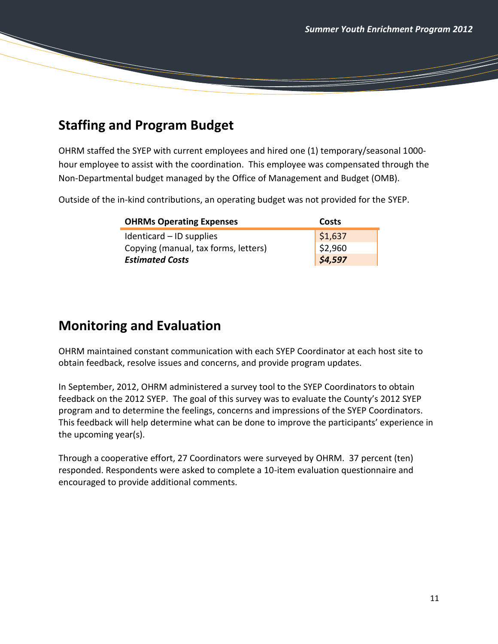T

# **Staffing and Program Budget**

OHRM staffed the SYEP with current employees and hired one (1) temporary/seasonal 1000 hour employee to assist with the coordination. This employee was compensated through the Non-Departmental budget managed by the Office of Management and Budget (OMB).

Outside of the in-kind contributions, an operating budget was not provided for the SYEP.

| <b>OHRMs Operating Expenses</b>      | Costs   |
|--------------------------------------|---------|
| Identicard - ID supplies             | \$1,637 |
| Copying (manual, tax forms, letters) | \$2,960 |
| <b>Estimated Costs</b>               | \$4,597 |

# **Monitoring and Evaluation**

OHRM maintained constant communication with each SYEP Coordinator at each host site to obtain feedback, resolve issues and concerns, and provide program updates.

In September, 2012, OHRM administered a survey tool to the SYEP Coordinators to obtain feedback on the 2012 SYEP. The goal of this survey was to evaluate the County's 2012 SYEP program and to determine the feelings, concerns and impressions of the SYEP Coordinators. This feedback will help determine what can be done to improve the participants' experience in the upcoming year(s).

Through a cooperative effort, 27 Coordinators were surveyed by OHRM. 37 percent (ten) responded. Respondents were asked to complete a 10-item evaluation questionnaire and encouraged to provide additional comments.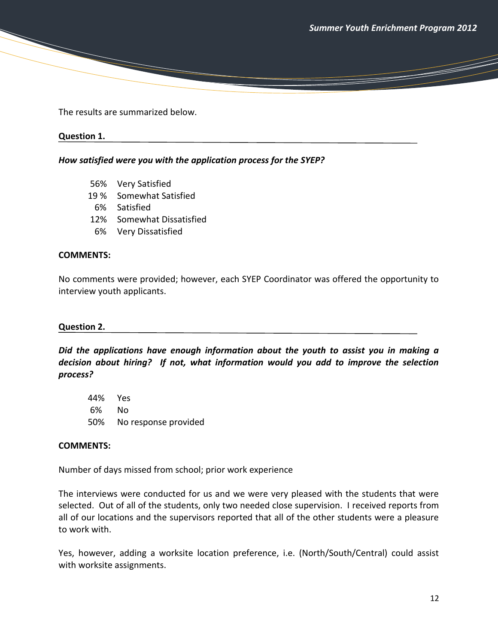T

The results are summarized below.

#### **Question 1.**

*How satisfied were you with the application process for the SYEP?* 

- 56% Very Satisfied
- 19 % Somewhat Satisfied
- 6% Satisfied
- 12% Somewhat Dissatisfied
- 6% Very Dissatisfied

#### **COMMENTS:**

No comments were provided; however, each SYEP Coordinator was offered the opportunity to interview youth applicants.

#### **Question 2.**

*Did the applications have enough information about the youth to assist you in making a decision about hiring? If not, what information would you add to improve the selection process?*

44% Yes 6% No 50% No response provided

#### **COMMENTS:**

Number of days missed from school; prior work experience

The interviews were conducted for us and we were very pleased with the students that were selected. Out of all of the students, only two needed close supervision. I received reports from all of our locations and the supervisors reported that all of the other students were a pleasure to work with.

Yes, however, adding a worksite location preference, i.e. (North/South/Central) could assist with worksite assignments.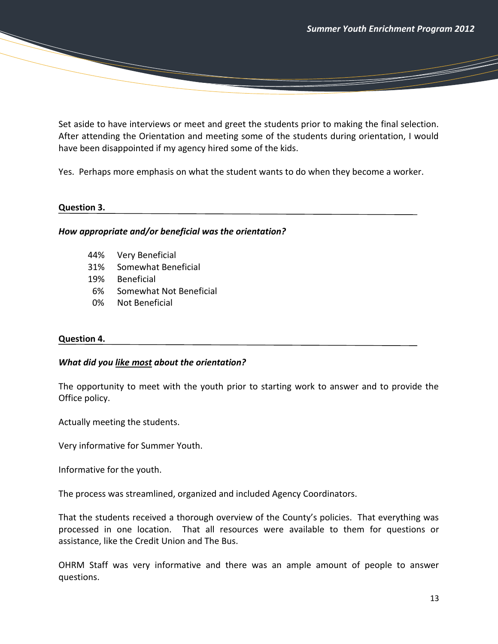T

Set aside to have interviews or meet and greet the students prior to making the final selection. After attending the Orientation and meeting some of the students during orientation, I would have been disappointed if my agency hired some of the kids.

Yes. Perhaps more emphasis on what the student wants to do when they become a worker.

#### **Question 3.**

#### *How appropriate and/or beneficial was the orientation?*

- 44% Very Beneficial
- 31% Somewhat Beneficial
- 19% Beneficial
- 6% Somewhat Not Beneficial
- 0% Not Beneficial

#### **Question 4.**

#### *What did you like most about the orientation?*

The opportunity to meet with the youth prior to starting work to answer and to provide the Office policy.

Actually meeting the students.

Very informative for Summer Youth.

Informative for the youth.

The process was streamlined, organized and included Agency Coordinators.

That the students received a thorough overview of the County's policies. That everything was processed in one location. That all resources were available to them for questions or assistance, like the Credit Union and The Bus.

OHRM Staff was very informative and there was an ample amount of people to answer questions.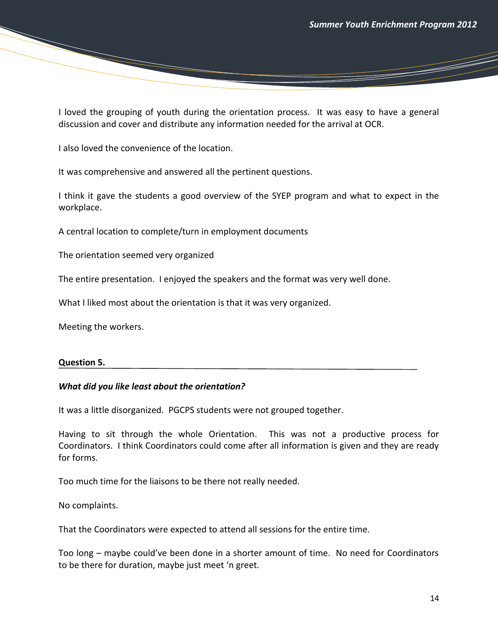and a strong of the contract of the contract of the contract of the contract of the contract of the contract of the contract of the contract of the contract of the contract of the contract of the contract of the contract o

I loved the grouping of youth during the orientation process. It was easy to have a general discussion and cover and distribute any information needed for the arrival at OCR.

I also loved the convenience of the location.

It was comprehensive and answered all the pertinent questions.

I think it gave the students a good overview of the SYEP program and what to expect in the workplace.

A central location to complete/turn in employment documents

The orientation seemed very organized

The entire presentation. I enjoyed the speakers and the format was very well done.

What I liked most about the orientation is that it was very organized.

Meeting the workers.

#### **Question 5.**

#### *What did you like least about the orientation?*

It was a little disorganized. PGCPS students were not grouped together.

Having to sit through the whole Orientation. This was not a productive process for Coordinators. I think Coordinators could come after all information is given and they are ready for forms.

Too much time for the liaisons to be there not really needed.

No complaints.

That the Coordinators were expected to attend all sessions for the entire time.

Too long – maybe could've been done in a shorter amount of time. No need for Coordinators to be there for duration, maybe just meet 'n greet.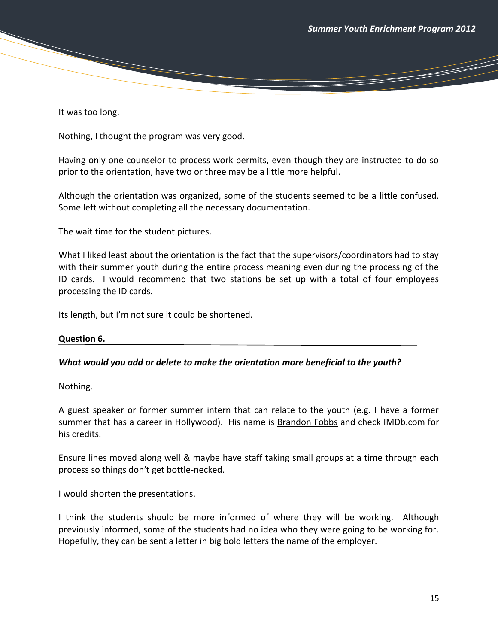<u>the Common Section (Common Section ) and</u>

It was too long.

Nothing, I thought the program was very good.

Having only one counselor to process work permits, even though they are instructed to do so prior to the orientation, have two or three may be a little more helpful.

Although the orientation was organized, some of the students seemed to be a little confused. Some left without completing all the necessary documentation.

The wait time for the student pictures.

What I liked least about the orientation is the fact that the supervisors/coordinators had to stay with their summer youth during the entire process meaning even during the processing of the ID cards. I would recommend that two stations be set up with a total of four employees processing the ID cards.

Its length, but I'm not sure it could be shortened.

#### **Question 6.**

#### *What would you add or delete to make the orientation more beneficial to the youth?*

Nothing.

A guest speaker or former summer intern that can relate to the youth (e.g. I have a former summer that has a career in Hollywood). His name is Brandon Fobbs and check IMDb.com for his credits.

Ensure lines moved along well & maybe have staff taking small groups at a time through each process so things don't get bottle-necked.

I would shorten the presentations.

I think the students should be more informed of where they will be working. Although previously informed, some of the students had no idea who they were going to be working for. Hopefully, they can be sent a letter in big bold letters the name of the employer.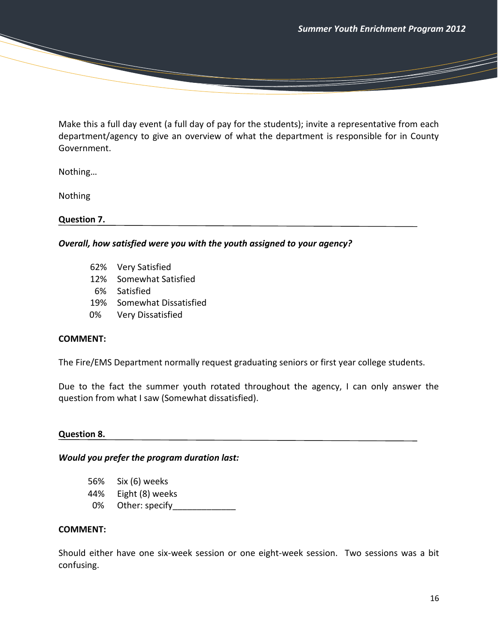<u>the Common Section (Common Section ) and</u>

Make this a full day event (a full day of pay for the students); invite a representative from each department/agency to give an overview of what the department is responsible for in County Government.

Nothing…

Nothing

**Question 7.** 

*Overall, how satisfied were you with the youth assigned to your agency?*

- 62% Very Satisfied
- 12% Somewhat Satisfied
- 6% Satisfied
- 19% Somewhat Dissatisfied
- 0% Very Dissatisfied

#### **COMMENT:**

The Fire/EMS Department normally request graduating seniors or first year college students.

Due to the fact the summer youth rotated throughout the agency, I can only answer the question from what I saw (Somewhat dissatisfied).

#### **Question 8.**

#### *Would you prefer the program duration last:*

- 56% Six (6) weeks
- 44% Eight (8) weeks
- 0% Other: specify

#### **COMMENT:**

Should either have one six-week session or one eight-week session. Two sessions was a bit confusing.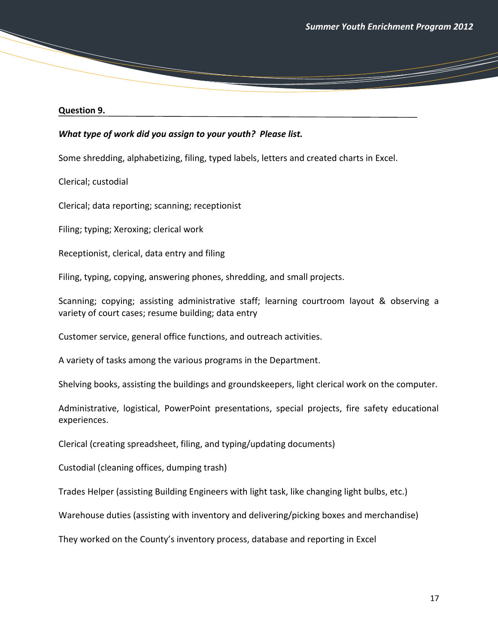and the contract of the contract of the contract of the contract of the contract of the contract of the contract of the contract of the contract of the contract of the contract of the contract of the contract of the contra

#### **Question 9.**

#### *What type of work did you assign to your youth? Please list.*

Some shredding, alphabetizing, filing, typed labels, letters and created charts in Excel.

Clerical; custodial

Clerical; data reporting; scanning; receptionist

Filing; typing; Xeroxing; clerical work

Receptionist, clerical, data entry and filing

Filing, typing, copying, answering phones, shredding, and small projects.

Scanning; copying; assisting administrative staff; learning courtroom layout & observing a variety of court cases; resume building; data entry

Customer service, general office functions, and outreach activities.

A variety of tasks among the various programs in the Department.

Shelving books, assisting the buildings and groundskeepers, light clerical work on the computer.

Administrative, logistical, PowerPoint presentations, special projects, fire safety educational experiences.

Clerical (creating spreadsheet, filing, and typing/updating documents)

Custodial (cleaning offices, dumping trash)

Trades Helper (assisting Building Engineers with light task, like changing light bulbs, etc.)

Warehouse duties (assisting with inventory and delivering/picking boxes and merchandise)

They worked on the County's inventory process, database and reporting in Excel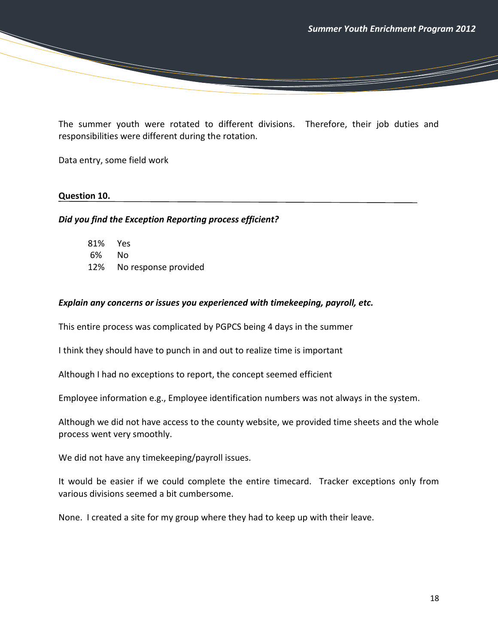and a strong of the contract of the contract of the contract of the contract of the contract of the contract of the contract of the contract of the contract of the contract of the contract of the contract of the contract o

The summer youth were rotated to different divisions. Therefore, their job duties and responsibilities were different during the rotation.

Data entry, some field work

#### **Question 10.**

#### *Did you find the Exception Reporting process efficient?*

81% Yes 6% No 12% No response provided

#### *Explain any concerns or issues you experienced with timekeeping, payroll, etc.*

This entire process was complicated by PGPCS being 4 days in the summer

I think they should have to punch in and out to realize time is important

Although I had no exceptions to report, the concept seemed efficient

Employee information e.g., Employee identification numbers was not always in the system.

Although we did not have access to the county website, we provided time sheets and the whole process went very smoothly.

We did not have any timekeeping/payroll issues.

It would be easier if we could complete the entire timecard. Tracker exceptions only from various divisions seemed a bit cumbersome.

None. I created a site for my group where they had to keep up with their leave.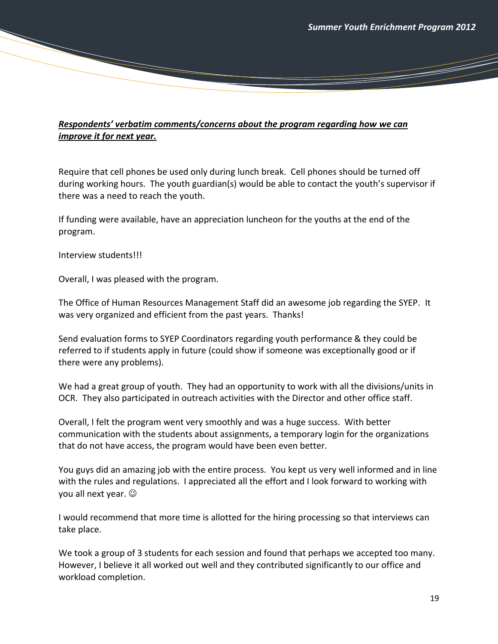## *Respondents' verbatim comments/concerns about the program regarding how we can improve it for next year.*

Require that cell phones be used only during lunch break. Cell phones should be turned off during working hours. The youth guardian(s) would be able to contact the youth's supervisor if there was a need to reach the youth.

If funding were available, have an appreciation luncheon for the youths at the end of the program.

Interview students!!!

Overall, I was pleased with the program.

The Office of Human Resources Management Staff did an awesome job regarding the SYEP. It was very organized and efficient from the past years. Thanks!

Send evaluation forms to SYEP Coordinators regarding youth performance & they could be referred to if students apply in future (could show if someone was exceptionally good or if there were any problems).

We had a great group of youth. They had an opportunity to work with all the divisions/units in OCR. They also participated in outreach activities with the Director and other office staff.

Overall, I felt the program went very smoothly and was a huge success. With better communication with the students about assignments, a temporary login for the organizations that do not have access, the program would have been even better.

You guys did an amazing job with the entire process. You kept us very well informed and in line with the rules and regulations. I appreciated all the effort and I look forward to working with you all next year.  $\odot$ 

I would recommend that more time is allotted for the hiring processing so that interviews can take place.

We took a group of 3 students for each session and found that perhaps we accepted too many. However, I believe it all worked out well and they contributed significantly to our office and workload completion.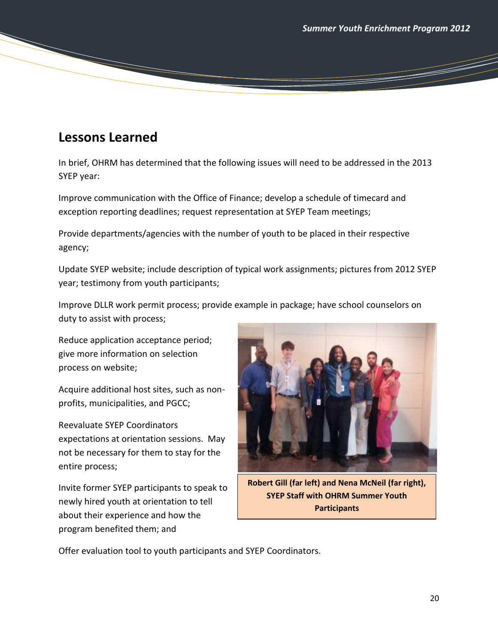# **Lessons Learned**

In brief, OHRM has determined that the following issues will need to be addressed in the 2013 SYEP year:

Improve communication with the Office of Finance; develop a schedule of timecard and exception reporting deadlines; request representation at SYEP Team meetings;

Provide departments/agencies with the number of youth to be placed in their respective agency;

Update SYEP website; include description of typical work assignments; pictures from 2012 SYEP year; testimony from youth participants;

Improve DLLR work permit process; provide example in package; have school counselors on duty to assist with process;

Reduce application acceptance period; give more information on selection process on website;

Acquire additional host sites, such as nonprofits, municipalities, and PGCC;

Reevaluate SYEP Coordinators expectations at orientation sessions. May not be necessary for them to stay for the entire process;

Invite former SYEP participants to speak to newly hired youth at orientation to tell about their experience and how the program benefited them; and



**Robert Gill (far left) and Nena McNeil (far right), SYEP Staff with OHRM Summer Youth Participants**

Offer evaluation tool to youth participants and SYEP Coordinators.